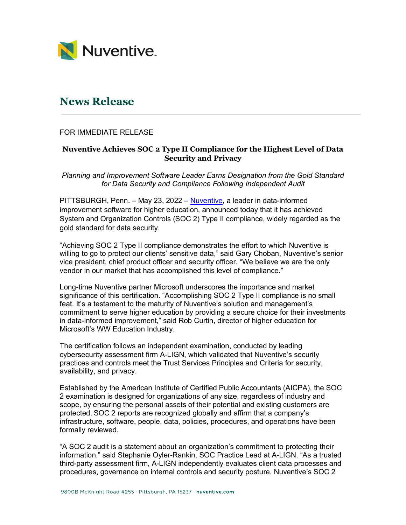

## **News Release**

## FOR IMMEDIATE RELEASE

## **Nuventive Achieves SOC 2 Type II Compliance for the Highest Level of Data Security and Privacy**

*Planning and Improvement Software Leader Earns Designation from the Gold Standard for Data Security and Compliance Following Independent Audit*

PITTSBURGH, Penn. – May 23, 2022 – Nuventive, a leader in data-informed improvement software for higher education, announced today that it has achieved System and Organization Controls (SOC 2) Type II compliance, widely regarded as the gold standard for data security.

"Achieving SOC 2 Type II compliance demonstrates the effort to which Nuventive is willing to go to protect our clients' sensitive data," said Gary Choban, Nuventive's senior vice president, chief product officer and security officer. "We believe we are the only vendor in our market that has accomplished this level of compliance."

Long-time Nuventive partner Microsoft underscores the importance and market significance of this certification. "Accomplishing SOC 2 Type II compliance is no small feat. It's a testament to the maturity of Nuventive's solution and management's commitment to serve higher education by providing a secure choice for their investments in data-informed improvement," said Rob Curtin, director of higher education for Microsoft's WW Education Industry.

The certification follows an independent examination, conducted by leading cybersecurity assessment firm A-LIGN, which validated that Nuventive's security practices and controls meet the Trust Services Principles and Criteria for security, availability, and privacy.

Established by the American Institute of Certified Public Accountants (AICPA), the SOC 2 examination is designed for organizations of any size, regardless of industry and scope, by ensuring the personal assets of their potential and existing customers are protected. SOC 2 reports are recognized globally and affirm that a company's infrastructure, software, people, data, policies, procedures, and operations have been formally reviewed.

"A SOC 2 audit is a statement about an organization's commitment to protecting their information." said Stephanie Oyler-Rankin, SOC Practice Lead at A-LIGN. "As a trusted third-party assessment firm, A-LIGN independently evaluates client data processes and procedures, governance on internal controls and security posture. Nuventive's SOC 2